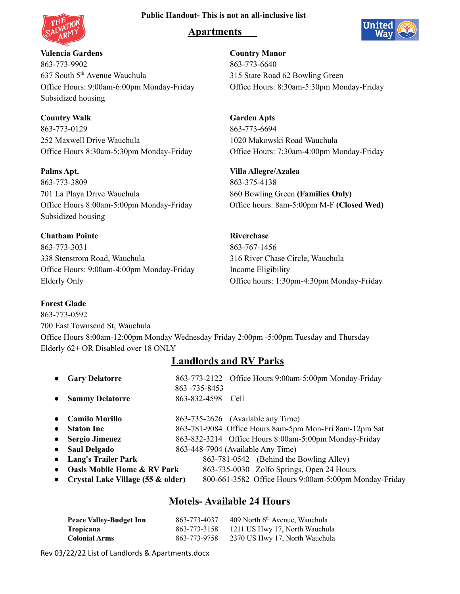### **Public Handout- This is not an all-inclusive list**



# **Apartments**



**Valencia Gardens Country Manor** 863-773-9902 863-773-6640 637 South 5<sup>th</sup> Avenue Wauchula Office Hours: 9:00am-6:00pm Monday-Friday Office Hours: 8:30am-5:30pm Monday-Friday Subsidized housing

**Country Walk Garden Apts** 863-773-0129 863-773-6694 252 Maxwell Drive Wauchula 1020 Makowski Road Wauchula Office Hours 8:30am-5:30pm Monday-Friday Office Hours: 7:30am-4:00pm Monday-Friday

**Palms Apt. Villa Allegre/Azalea** 863-773-3809 863-375-4138 701 La Playa Drive Wauchula 860 Bowling Green **(Families Only)** Subsidized housing

**Chatham Pointe Riverchase** 863-773-3031 863-767-1456 338 Stenstrom Road, Wauchula 316 River Chase Circle, Wauchula Office Hours: 9:00am-4:00pm Monday-Friday Income Eligibility

### **Forest Glade**

863-773-0592 700 East Townsend St, Wauchula Office Hours 8:00am-12:00pm Monday Wednesday Friday 2:00pm -5:00pm Tuesday and Thursday Elderly 62+ OR Disabled over 18 ONLY

## **Landlords and RV Parks**

|           | <b>Gary Delatorre</b>                  | 863 - 735 - 8453 | 863-773-2122 Office Hours 9:00am-5:00pm Monday-Friday  |
|-----------|----------------------------------------|------------------|--------------------------------------------------------|
|           | <b>Sammy Delatorre</b>                 | 863-832-4598     | Cell                                                   |
|           | <b>Camilo Morillo</b>                  |                  | 863-735-2626 (Available any Time)                      |
| $\bullet$ | <b>Staton Inc</b>                      |                  | 863-781-9084 Office Hours 8am-5pm Mon-Fri 8am-12pm Sat |
|           | <b>Sergio Jimenez</b>                  |                  | 863-832-3214 Office Hours 8:00am-5:00pm Monday-Friday  |
|           | <b>Saul Delgado</b>                    |                  | 863-448-7904 (Available Any Time)                      |
|           | <b>Lang's Trailer Park</b>             |                  | 863-781-0542 (Behind the Bowling Alley)                |
|           | <b>Oasis Mobile Home &amp; RV Park</b> |                  | 863-735-0030 Zolfo Springs, Open 24 Hours              |
|           | Crystal Lake Village (55 & older)      |                  | 800-661-3582 Office Hours 9:00am-5:00pm Monday-Friday  |

# **Motels- Available 24 Hours**

| <b>Peace Valley-Budget Inn</b> | 863-773-4037 | 409 North 6 <sup>th</sup> Avenue, Wauchula |
|--------------------------------|--------------|--------------------------------------------|
| <b>Tropicana</b>               | 863-773-3158 | 1211 US Hwy 17, North Wauchula             |
| <b>Colonial Arms</b>           | 863-773-9758 | 2370 US Hwy 17, North Wauchula             |

Rev 03/22/22 List of Landlords & Apartments.docx

315 State Road 62 Bowling Green

Office Hours 8:00am-5:00pm Monday-Friday Office hours: 8am-5:00pm M-F **(Closed Wed)**

Elderly Only Office hours: 1:30pm-4:30pm Monday-Friday